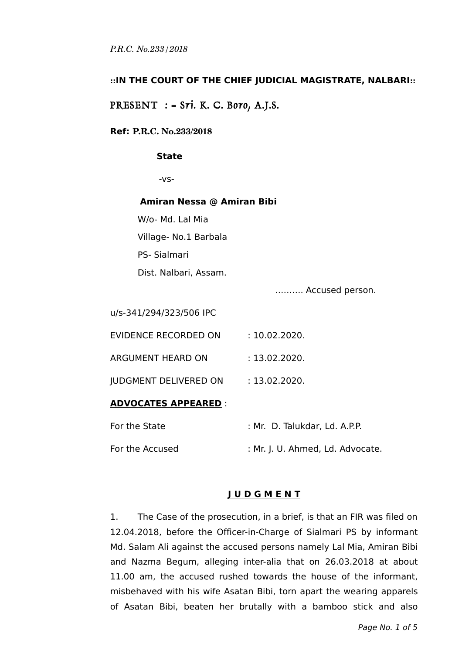### **::IN THE COURT OF THE CHIEF JUDICIAL MAGISTRATE, NALBARI::**

PRESENT : =  $Sri.$  K. C. Boro, A.J.S.

#### **Ref: P.R.C. No.233/2018**

#### **State**

-vs-

#### **Amiran Nessa @ Amiran Bibi**

W/o- Md. Lal Mia

Village- No.1 Barbala

PS- Sialmari

Dist. Nalbari, Assam.

..…….. Accused person.

u/s-341/294/323/506 IPC

EVIDENCE RECORDED ON : 10.02.2020.

ARGUMENT HEARD ON : 13.02.2020.

IUDGMENT DELIVERED ON : 13.02.2020.

### **ADVOCATES APPEARED** :

| For the State   | : Mr. D. Talukdar, Ld. A.P.P.    |
|-----------------|----------------------------------|
| For the Accused | : Mr. J. U. Ahmed, Ld. Advocate. |

# **J U D G M E N T**

1. The Case of the prosecution, in a brief, is that an FIR was filed on 12.04.2018, before the Officer-in-Charge of Sialmari PS by informant Md. Salam Ali against the accused persons namely Lal Mia, Amiran Bibi and Nazma Begum, alleging inter-alia that on 26.03.2018 at about 11.00 am, the accused rushed towards the house of the informant, misbehaved with his wife Asatan Bibi, torn apart the wearing apparels of Asatan Bibi, beaten her brutally with a bamboo stick and also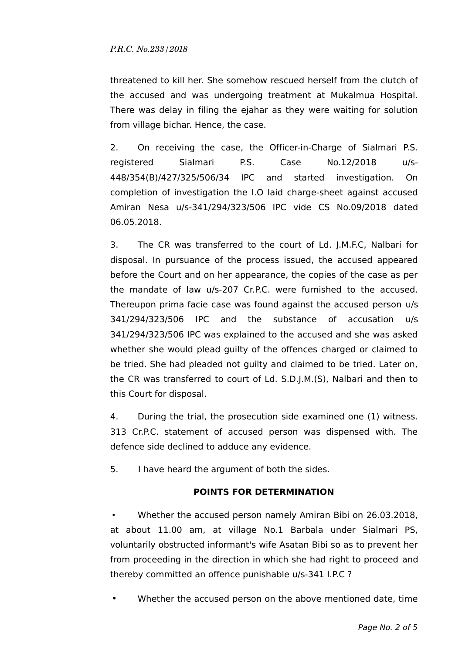threatened to kill her. She somehow rescued herself from the clutch of the accused and was undergoing treatment at Mukalmua Hospital. There was delay in filing the ejahar as they were waiting for solution from village bichar. Hence, the case.

2. On receiving the case, the Officer-in-Charge of Sialmari P.S. registered Sialmari P.S. Case No.12/2018 u/s-448/354(B)/427/325/506/34 IPC and started investigation. On completion of investigation the I.O laid charge-sheet against accused Amiran Nesa u/s-341/294/323/506 IPC vide CS No.09/2018 dated 06.05.2018.

3. The CR was transferred to the court of Ld. J.M.F.C, Nalbari for disposal. In pursuance of the process issued, the accused appeared before the Court and on her appearance, the copies of the case as per the mandate of law u/s-207 Cr.P.C. were furnished to the accused. Thereupon prima facie case was found against the accused person u/s 341/294/323/506 IPC and the substance of accusation u/s 341/294/323/506 IPC was explained to the accused and she was asked whether she would plead guilty of the offences charged or claimed to be tried. She had pleaded not guilty and claimed to be tried. Later on, the CR was transferred to court of Ld. S.D.J.M.(S), Nalbari and then to this Court for disposal.

4. During the trial, the prosecution side examined one (1) witness. 313 Cr.P.C. statement of accused person was dispensed with. The defence side declined to adduce any evidence.

5. I have heard the argument of both the sides.

# **POINTS FOR DETERMINATION**

 • Whether the accused person namely Amiran Bibi on 26.03.2018, at about 11.00 am, at village No.1 Barbala under Sialmari PS, voluntarily obstructed informant's wife Asatan Bibi so as to prevent her from proceeding in the direction in which she had right to proceed and thereby committed an offence punishable u/s-341 I.P.C ?

Whether the accused person on the above mentioned date, time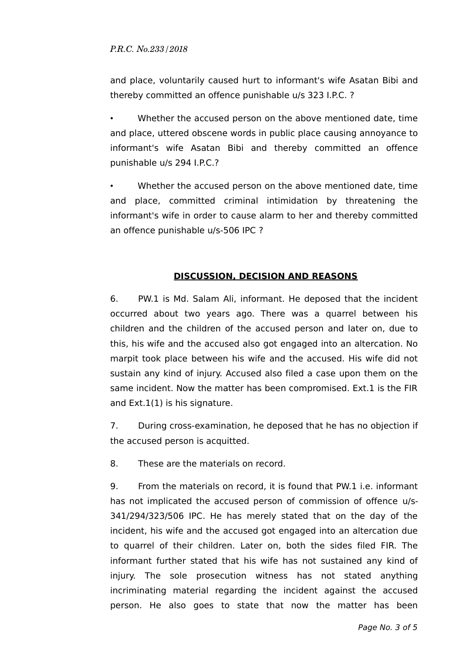and place, voluntarily caused hurt to informant's wife Asatan Bibi and thereby committed an offence punishable u/s 323 I.P.C. ?

• Whether the accused person on the above mentioned date, time and place, uttered obscene words in public place causing annoyance to informant's wife Asatan Bibi and thereby committed an offence punishable u/s 294 I.P.C.?

• Whether the accused person on the above mentioned date, time and place, committed criminal intimidation by threatening the informant's wife in order to cause alarm to her and thereby committed an offence punishable u/s-506 IPC ?

# **DISCUSSION, DECISION AND REASONS**

6. PW.1 is Md. Salam Ali, informant. He deposed that the incident occurred about two years ago. There was a quarrel between his children and the children of the accused person and later on, due to this, his wife and the accused also got engaged into an altercation. No marpit took place between his wife and the accused. His wife did not sustain any kind of injury. Accused also filed a case upon them on the same incident. Now the matter has been compromised. Ext.1 is the FIR and Ext.1(1) is his signature.

7. During cross-examination, he deposed that he has no objection if the accused person is acquitted.

8. These are the materials on record.

9. From the materials on record, it is found that PW.1 i.e. informant has not implicated the accused person of commission of offence u/s-341/294/323/506 IPC. He has merely stated that on the day of the incident, his wife and the accused got engaged into an altercation due to quarrel of their children. Later on, both the sides filed FIR. The informant further stated that his wife has not sustained any kind of injury. The sole prosecution witness has not stated anything incriminating material regarding the incident against the accused person. He also goes to state that now the matter has been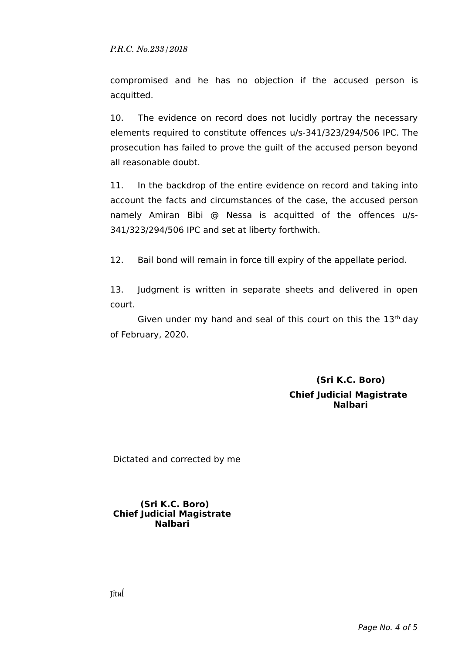compromised and he has no objection if the accused person is acquitted.

10. The evidence on record does not lucidly portray the necessary elements required to constitute offences u/s-341/323/294/506 IPC. The prosecution has failed to prove the guilt of the accused person beyond all reasonable doubt.

11. In the backdrop of the entire evidence on record and taking into account the facts and circumstances of the case, the accused person namely Amiran Bibi @ Nessa is acquitted of the offences u/s-341/323/294/506 IPC and set at liberty forthwith.

12. Bail bond will remain in force till expiry of the appellate period.

13. Judgment is written in separate sheets and delivered in open court.

Given under my hand and seal of this court on this the  $13<sup>th</sup>$  day of February, 2020.

> **(Sri K.C. Boro) Chief Judicial Magistrate Nalbari**

Dictated and corrected by me

#### **(Sri K.C. Boro) Chief Judicial Magistrate Nalbari**